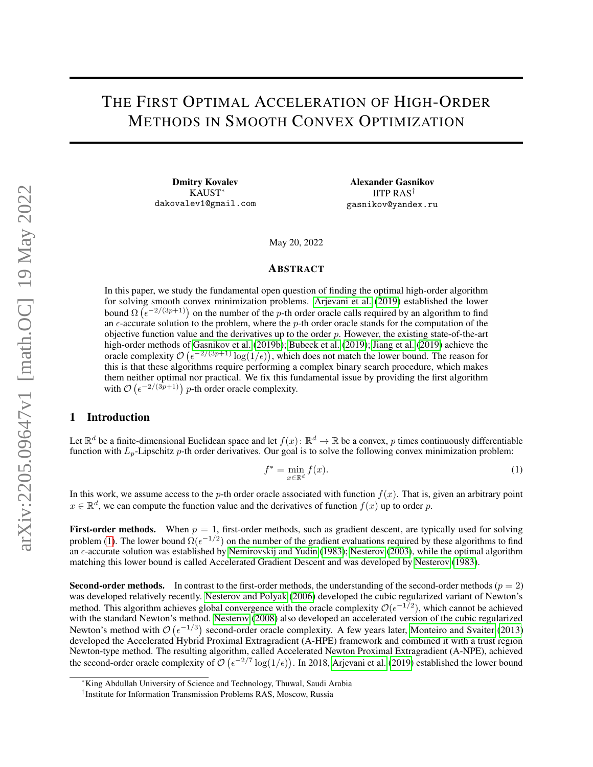## THE FIRST OPTIMAL ACCELERATION OF HIGH-ORDER METHODS IN SMOOTH CONVEX OPTIMIZATION

Dmitry Kovalev KAUST<sup>∗</sup> dakovalev1@gmail.com

Alexander Gasnikov IITP RAS† gasnikov@yandex.ru

May 20, 2022

#### ABSTRACT

In this paper, we study the fundamental open question of finding the optimal high-order algorithm for solving smooth convex minimization problems. [Arjevani et al.](#page-8-0) [\(2019\)](#page-8-0) established the lower bound  $\Omega\left(\epsilon^{-2/(3p+1)}\right)$  on the number of the p-th order oracle calls required by an algorithm to find an  $\epsilon$ -accurate solution to the problem, where the p-th order oracle stands for the computation of the objective function value and the derivatives up to the order  $p$ . However, the existing state-of-the-art high-order methods of [Gasnikov et al.](#page-8-1) [\(2019b\)](#page-8-1); [Bubeck et al.](#page-8-2) [\(2019\)](#page-8-2); [Jiang et al.](#page-8-3) [\(2019\)](#page-8-3) achieve the oracle complexity  $\mathcal{O}\left(\epsilon^{-2/(3p+1)}\log(1/\epsilon)\right)$ , which does not match the lower bound. The reason for this is that these algorithms require performing a complex binary search procedure, which makes them neither optimal nor practical. We fix this fundamental issue by providing the first algorithm with  $\mathcal{O}\left(\epsilon^{-2/(3p+1)}\right)$  p-th order oracle complexity.

#### 1 Introduction

Let  $\mathbb{R}^d$  be a finite-dimensional Euclidean space and let  $f(x)$ :  $\mathbb{R}^d \to \mathbb{R}$  be a convex, p times continuously differentiable function with  $L_p$ -Lipschitz p-th order derivatives. Our goal is to solve the following convex minimization problem:

<span id="page-0-0"></span>
$$
f^* = \min_{x \in \mathbb{R}^d} f(x). \tag{1}
$$

In this work, we assume access to the p-th order oracle associated with function  $f(x)$ . That is, given an arbitrary point  $x \in \mathbb{R}^d$ , we can compute the function value and the derivatives of function  $f(x)$  up to order p.

**First-order methods.** When  $p = 1$ , first-order methods, such as gradient descent, are typically used for solving problem [\(1\)](#page-0-0). The lower bound  $\Omega(\epsilon^{-1/2})$  on the number of the gradient evaluations required by these algorithms to find an  $\epsilon$ -accurate solution was established by [Nemirovskij and Yudin](#page-8-4) [\(1983\)](#page-8-4); [Nesterov](#page-8-5) [\(2003\)](#page-8-5), while the optimal algorithm matching this lower bound is called Accelerated Gradient Descent and was developed by [Nesterov](#page-8-6) [\(1983\)](#page-8-6).

**Second-order methods.** In contrast to the first-order methods, the understanding of the second-order methods ( $p = 2$ ) was developed relatively recently. [Nesterov and Polyak](#page-8-7) [\(2006\)](#page-8-7) developed the cubic regularized variant of Newton's method. This algorithm achieves global convergence with the oracle complexity  $\mathcal{O}(\epsilon^{-1/2})$ , which cannot be achieved with the standard Newton's method. [Nesterov](#page-8-8) [\(2008\)](#page-8-8) also developed an accelerated version of the cubic regularized Newton's method with  $\mathcal{O}(\epsilon^{-1/3})$  second-order oracle complexity. A few years later, [Monteiro and Svaiter](#page-8-9) [\(2013\)](#page-8-9) developed the Accelerated Hybrid Proximal Extragradient (A-HPE) framework and combined it with a trust region Newton-type method. The resulting algorithm, called Accelerated Newton Proximal Extragradient (A-NPE), achieved the second-order oracle complexity of  $\mathcal{O}(\epsilon^{-2/7} \log(1/\epsilon))$ . In 2018, [Arjevani et al.](#page-8-0) [\(2019\)](#page-8-0) established the lower bound

<sup>∗</sup>King Abdullah University of Science and Technology, Thuwal, Saudi Arabia

<sup>†</sup> Institute for Information Transmission Problems RAS, Moscow, Russia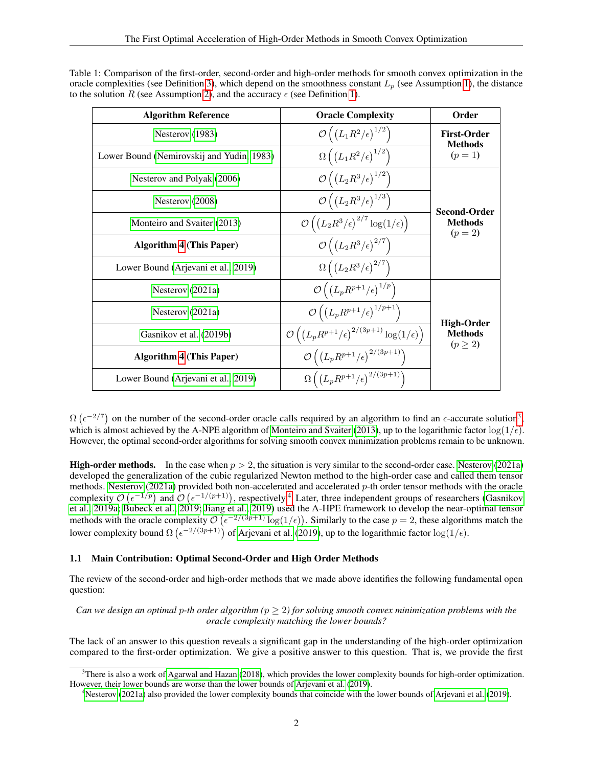| Table 1: Comparison of the first-order, second-order and high-order methods for smooth convex optimization in the      |
|------------------------------------------------------------------------------------------------------------------------|
| oracle complexities (see Definition 3), which depend on the smoothness constant $L_p$ (see Assumption 1), the distance |
| to the solution R (see Assumption 2), and the accuracy $\epsilon$ (see Definition 1).                                  |

| <b>Algorithm Reference</b>                | <b>Oracle Complexity</b>                                                               | Order                                        |
|-------------------------------------------|----------------------------------------------------------------------------------------|----------------------------------------------|
| Nesterov $(1983)$                         | $\mathcal{O}\left(\left(L_1R^2/\epsilon\right)^{1/2}\right)$                           | <b>First-Order</b><br><b>Methods</b>         |
| Lower Bound (Nemirovskij and Yudin, 1983) | $\Omega\left(\left(L_1R^2/\epsilon\right)^{1/2}\right)$                                | $(p = 1)$                                    |
| Nesterov and Polyak (2006)                | $\mathcal{O}\left(\left(L_2R^3/\epsilon\right)^{1/2}\right)$                           |                                              |
| Nesterov (2008)                           | $\mathcal{O}\left(\left(L_2R^3/\epsilon\right)^{1/3}\right)$                           | <b>Second-Order</b>                          |
| Monteiro and Svaiter (2013)               | $\mathcal{O}\left(\left(L_2R^3/\epsilon\right)^{2/7}\log(1/\epsilon)\right)$           | <b>Methods</b><br>$(p = 2)$                  |
| <b>Algorithm 4 (This Paper)</b>           | $\mathcal{O}\left(\left(L_2R^3/\epsilon\right)^{2/7}\right)$                           |                                              |
| Lower Bound (Arjevani et al., 2019)       | $\Omega\left(\left(L_2R^3/\epsilon\right)^{2/7}\right)$                                |                                              |
| Nesterov $(2021a)$                        | $\mathcal{O}\left(\left(L_p R^{p+1}/\epsilon\right)^{1/p}\right)$                      |                                              |
| Nesterov $(2021a)$                        | $\mathcal{O}\left(\left(L_p R^{p+1}/\epsilon\right)^{1/p+1}\right)$                    |                                              |
| Gasnikov et al. (2019b)                   | $\mathcal{O}\left(\left(L_p R^{p+1}/\epsilon\right)^{2/(3p+1)}\log(1/\epsilon)\right)$ | High-Order<br><b>Methods</b><br>$(p \geq 2)$ |
| <b>Algorithm 4 (This Paper)</b>           | $\mathcal{O}\left(\left(L_p R^{p+1} / \epsilon \right)^{2/(3p+1)}\right)$              |                                              |
| Lower Bound (Arjevani et al., 2019)       | $\Omega\left(\left(L_p R^{p+1}/\epsilon\right)^{2/(3p+1)}\right)$                      |                                              |

 $\Omega(\epsilon^{-2/7})$  on the number of the second-order oracle calls required by an algorithm to find an  $\epsilon$ -accurate solution<sup>[3](#page-1-0)</sup>, which is almost achieved by the A-NPE algorithm of [Monteiro and Svaiter](#page-8-9) [\(2013\)](#page-8-9), up to the logarithmic factor  $\log(1/\epsilon)$ . However, the optimal second-order algorithms for solving smooth convex minimization problems remain to be unknown.

**High-order methods.** In the case when  $p > 2$ , the situation is very similar to the second-order case. [Nesterov](#page-8-10) [\(2021a\)](#page-8-10) developed the generalization of the cubic regularized Newton method to the high-order case and called them tensor methods. [Nesterov](#page-8-10) [\(2021a\)](#page-8-10) provided both non-accelerated and accelerated  $p$ -th order tensor methods with the oracle complexity  $\mathcal{O}(\epsilon^{-1/p})$  and  $\mathcal{O}(\epsilon^{-1/(p+1)})$ , respectively.<sup>[4](#page-1-1)</sup> Later, three independent groups of researchers [\(Gasnikov](#page-8-11) [et al., 2019a;](#page-8-11) [Bubeck et al., 2019;](#page-8-2) [Jiang et al., 2019\)](#page-8-3) used the A-HPE framework to develop the near-optimal tensor methods with the oracle complexity  $\mathcal{O}(\epsilon^{-2/(3p+1)}\log(1/\epsilon))$ . Similarly to the case  $p=2$ , these algorithms match the lower complexity bound  $\Omega\left(\epsilon^{-2/(3p+1)}\right)$  of [Arjevani et al.](#page-8-0) [\(2019\)](#page-8-0), up to the logarithmic factor log(1/ $\epsilon$ ).

#### 1.1 Main Contribution: Optimal Second-Order and High Order Methods

The review of the second-order and high-order methods that we made above identifies the following fundamental open question:

*Can we design an optimal p-th order algorithm (* $p \geq 2$ *) for solving smooth convex minimization problems with the oracle complexity matching the lower bounds?*

The lack of an answer to this question reveals a significant gap in the understanding of the high-order optimization compared to the first-order optimization. We give a positive answer to this question. That is, we provide the first

<span id="page-1-0"></span> $3$ There is also a work of [Agarwal and Hazan](#page-8-12) [\(2018\)](#page-8-12), which provides the lower complexity bounds for high-order optimization. However, their lower bounds are worse than the lower bounds of [Arjevani et al.](#page-8-0) [\(2019\)](#page-8-0).

<span id="page-1-1"></span><sup>4</sup>[Nesterov](#page-8-10) [\(2021a\)](#page-8-10) also provided the lower complexity bounds that coincide with the lower bounds of [Arjevani et al.](#page-8-0) [\(2019\)](#page-8-0).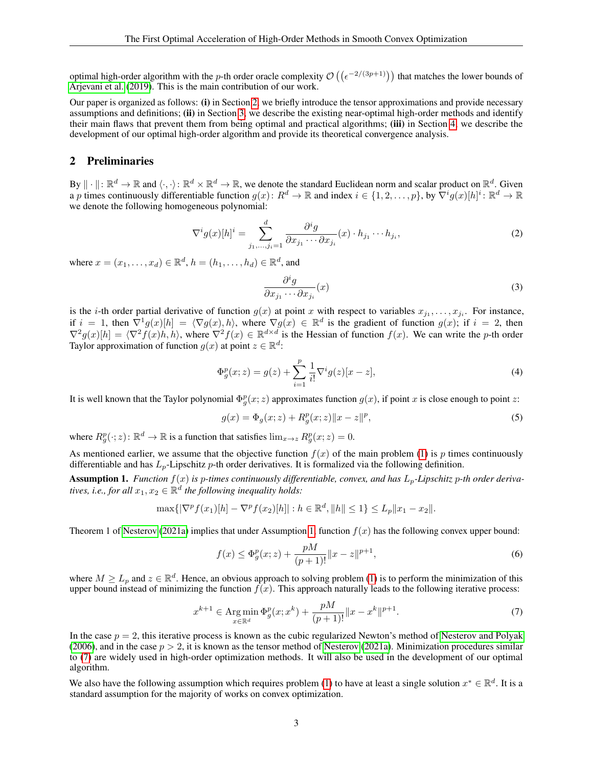optimal high-order algorithm with the p-th order oracle complexity  $\mathcal{O}((\epsilon^{-2/(3p+1)}))$  that matches the lower bounds of [Arjevani et al.](#page-8-0) [\(2019\)](#page-8-0). This is the main contribution of our work.

Our paper is organized as follows: (i) in Section [2,](#page-2-2) we briefly introduce the tensor approximations and provide necessary assumptions and definitions; (ii) in Section [3,](#page-3-2) we describe the existing near-optimal high-order methods and identify their main flaws that prevent them from being optimal and practical algorithms; (iii) in Section [4,](#page-5-0) we describe the development of our optimal high-order algorithm and provide its theoretical convergence analysis.

#### <span id="page-2-2"></span>2 Preliminaries

By  $\|\cdot\|: \mathbb{R}^d \to \mathbb{R}$  and  $\langle \cdot, \cdot \rangle: \mathbb{R}^d \times \mathbb{R}^d \to \mathbb{R}$ , we denote the standard Euclidean norm and scalar product on  $\mathbb{R}^d$ . Given a p times continuously differentiable function  $g(x) \colon R^d \to \mathbb{R}$  and index  $i \in \{1, 2, \dots, p\}$ , by  $\overline{\nabla^i g(x)}[h]^i \colon \mathbb{R}^d \to \mathbb{R}$ we denote the following homogeneous polynomial:

$$
\nabla^i g(x)[h]^i = \sum_{j_1,\dots,j_i=1}^d \frac{\partial^i g}{\partial x_{j_1} \cdots \partial x_{j_i}}(x) \cdot h_{j_1} \cdots h_{j_i},\tag{2}
$$

where  $x = (x_1, \ldots, x_d) \in \mathbb{R}^d$ ,  $h = (h_1, \ldots, h_d) \in \mathbb{R}^d$ , and

$$
\frac{\partial^i g}{\partial x_{j_1} \cdots \partial x_{j_i}}(x) \tag{3}
$$

is the *i*-th order partial derivative of function  $g(x)$  at point x with respect to variables  $x_{j_1}, \ldots, x_{j_i}$ . For instance, if  $i = 1$ , then  $\nabla^1 g(x)[h] = \langle \nabla g(x), h \rangle$ , where  $\nabla g(x) \in \mathbb{R}^d$  is the gradient of function  $g(x)$ ; if  $i = 2$ , then  $\nabla^2 g(x)[h] = \langle \nabla^2 f(x)h, h \rangle$ , where  $\nabla^2 f(x) \in \mathbb{R}^{d \times d}$  is the Hessian of function  $f(x)$ . We can write the p-th order Taylor approximation of function  $g(x)$  at point  $z \in \mathbb{R}^d$ :

$$
\Phi_g^p(x; z) = g(z) + \sum_{i=1}^p \frac{1}{i!} \nabla^i g(z) [x - z],\tag{4}
$$

It is well known that the Taylor polynomial  $\Phi_{g}^{p}(x; z)$  approximates function  $g(x)$ , if point x is close enough to point z:

$$
g(x) = \Phi_g(x; z) + R_g^p(x; z) \|x - z\|^p,
$$
\n(5)

where  $R_g^p(\cdot; z)$ :  $\mathbb{R}^d \to \mathbb{R}$  is a function that satisfies  $\lim_{x \to z} R_g^p(x; z) = 0$ .

As mentioned earlier, we assume that the objective function  $f(x)$  of the main problem [\(1\)](#page-0-0) is p times continuously differentiable and has  $L_p$ -Lipschitz p-th order derivatives. It is formalized via the following definition.

<span id="page-2-0"></span>Assumption 1. *Function*  $f(x)$  *is p-times continuously differentiable, convex, and has*  $L_p$ -*Lipschitz* p-th order deriva*tives, i.e., for all*  $x_1, x_2 \in \mathbb{R}^d$  the following inequality holds:

$$
\max\{|\nabla^p f(x_1)[h] - \nabla^p f(x_2)[h] : h \in \mathbb{R}^d, ||h|| \le 1\} \le L_p ||x_1 - x_2||.
$$

Theorem 1 of [Nesterov](#page-8-10) [\(2021a\)](#page-8-10) implies that under Assumption [1,](#page-2-0) function  $f(x)$  has the following convex upper bound:

<span id="page-2-3"></span>
$$
f(x) \le \Phi_g^p(x; z) + \frac{pM}{(p+1)!} ||x - z||^{p+1},\tag{6}
$$

where  $M \ge L_p$  and  $z \in \mathbb{R}^d$ . Hence, an obvious approach to solving problem [\(1\)](#page-0-0) is to perform the minimization of this upper bound instead of minimizing the function  $f(x)$ . This approach naturally leads to the following iterative process:

$$
x^{k+1} \in \operatorname{Arg\,min}_{x \in \mathbb{R}^d} \Phi_g^p(x; x^k) + \frac{pM}{(p+1)!} \|x - x^k\|^{p+1}.
$$
 (7)

In the case  $p = 2$ , this iterative process is known as the cubic regularized Newton's method of [Nesterov and Polyak](#page-8-7) [\(2006\)](#page-8-7), and in the case  $p > 2$ , it is known as the tensor method of [Nesterov](#page-8-10) [\(2021a\)](#page-8-10). Minimization procedures similar to [\(7\)](#page-2-3) are widely used in high-order optimization methods. It will also be used in the development of our optimal algorithm.

<span id="page-2-1"></span>We also have the following assumption which requires problem [\(1\)](#page-0-0) to have at least a single solution  $x^* \in \mathbb{R}^d$ . It is a standard assumption for the majority of works on convex optimization.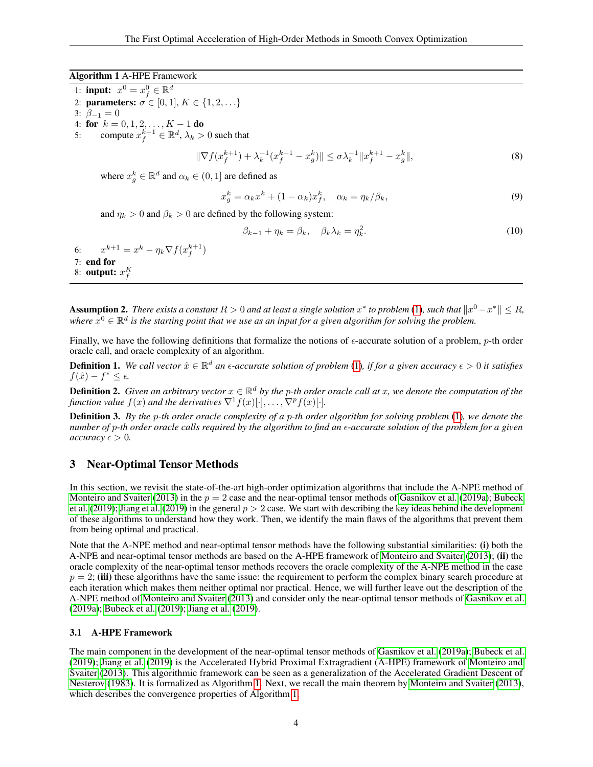#### Algorithm 1 A-HPE Framework

- <span id="page-3-3"></span>1: **input:**  $x^0 = x_f^0 \in \mathbb{R}^d$
- 2: **parameters:**  $\sigma \in [0, 1], K \in \{1, 2, ...\}$
- 3:  $\beta_{-1} = 0$
- 4: for  $k = 0, 1, 2, ..., K 1$  do
- <span id="page-3-5"></span>5: compute  $x_f^{k+1} \in \mathbb{R}^d$ ,  $\lambda_k > 0$  such that

<span id="page-3-4"></span>
$$
\|\nabla f(x_f^{k+1}) + \lambda_k^{-1} (x_f^{k+1} - x_g^k)\| \le \sigma \lambda_k^{-1} \|x_f^{k+1} - x_g^k\|,\tag{8}
$$

where  $x_g^k \in \mathbb{R}^d$  and  $\alpha_k \in (0, 1]$  are defined as

<span id="page-3-7"></span>
$$
x_g^k = \alpha_k x^k + (1 - \alpha_k)x_f^k, \quad \alpha_k = \eta_k/\beta_k,
$$
\n(9)

and  $\eta_k > 0$  and  $\beta_k > 0$  are defined by the following system:

<span id="page-3-8"></span>
$$
\beta_{k-1} + \eta_k = \beta_k, \quad \beta_k \lambda_k = \eta_k^2. \tag{10}
$$

<span id="page-3-11"></span><span id="page-3-10"></span><span id="page-3-9"></span>6:  $x^{k+1} = x^k - \eta_k \nabla f(x_f^{k+1})$ 7: end for 8: **output:**  $x_f^K$ 

**Assumption 2.** There exists a constant  $R > 0$  and at least a single solution  $x^*$  to problem [\(1\)](#page-0-0), such that  $\|x^0 - x^*\| \le R$ , where  $\hat{x}^0 \in \mathbb{R}^d$  is the starting point that we use as an input for a given algorithm for solving the problem.

Finally, we have the following definitions that formalize the notions of  $\epsilon$ -accurate solution of a problem, *p*-th order oracle call, and oracle complexity of an algorithm.

<span id="page-3-1"></span>**Definition 1.** We call vector  $\hat{x} \in \mathbb{R}^d$  an  $\epsilon$ -accurate solution of problem [\(1\)](#page-0-0), if for a given accuracy  $\epsilon > 0$  it satisfies  $f(\hat{x}) - f^* \leq \epsilon$ .

**Definition 2.** Given an arbitrary vector  $x \in \mathbb{R}^d$  by the p-th order oracle call at x, we denote the computation of the *function value*  $f(x)$  *and the derivatives*  $\nabla$ <sup>1</sup> $f(x)[\cdot]$ , ...,  $\nabla$ <sup>p</sup> $f(x)[\cdot]$ .

<span id="page-3-0"></span>Definition 3. *By the* p*-th order oracle complexity of a* p*-th order algorithm for solving problem* [\(1\)](#page-0-0)*, we denote the number of* p*-th order oracle calls required by the algorithm to find an -accurate solution of the problem for a given accuracy*  $\epsilon > 0$ .

### <span id="page-3-2"></span>3 Near-Optimal Tensor Methods

In this section, we revisit the state-of-the-art high-order optimization algorithms that include the A-NPE method of [Monteiro and Svaiter](#page-8-9) [\(2013\)](#page-8-9) in the  $p = 2$  case and the near-optimal tensor methods of [Gasnikov et al.](#page-8-11) [\(2019a\)](#page-8-11); [Bubeck](#page-8-2) [et al.](#page-8-2) [\(2019\)](#page-8-3); [Jiang et al.](#page-8-3) (2019) in the general  $p > 2$  case. We start with describing the key ideas behind the development of these algorithms to understand how they work. Then, we identify the main flaws of the algorithms that prevent them from being optimal and practical.

Note that the A-NPE method and near-optimal tensor methods have the following substantial similarities: (i) both the A-NPE and near-optimal tensor methods are based on the A-HPE framework of [Monteiro and Svaiter](#page-8-9) [\(2013\)](#page-8-9); (ii) the oracle complexity of the near-optimal tensor methods recovers the oracle complexity of the A-NPE method in the case  $p = 2$ ; (iii) these algorithms have the same issue: the requirement to perform the complex binary search procedure at each iteration which makes them neither optimal nor practical. Hence, we will further leave out the description of the A-NPE method of [Monteiro and Svaiter](#page-8-9) [\(2013\)](#page-8-9) and consider only the near-optimal tensor methods of [Gasnikov et al.](#page-8-11) [\(2019a\)](#page-8-11); [Bubeck et al.](#page-8-2) [\(2019\)](#page-8-2); [Jiang et al.](#page-8-3) [\(2019\)](#page-8-3).

#### 3.1 A-HPE Framework

<span id="page-3-6"></span>The main component in the development of the near-optimal tensor methods of [Gasnikov et al.](#page-8-11) [\(2019a\)](#page-8-11); [Bubeck et al.](#page-8-2) [\(2019\)](#page-8-2); [Jiang et al.](#page-8-3) [\(2019\)](#page-8-3) is the Accelerated Hybrid Proximal Extragradient (A-HPE) framework of [Monteiro and](#page-8-9) [Svaiter](#page-8-9) [\(2013\)](#page-8-9). This algorithmic framework can be seen as a generalization of the Accelerated Gradient Descent of [Nesterov](#page-8-6) [\(1983\)](#page-8-6). It is formalized as Algorithm [1.](#page-3-3) Next, we recall the main theorem by [Monteiro and Svaiter](#page-8-9) [\(2013\)](#page-8-9), which describes the convergence properties of Algorithm [1.](#page-3-3)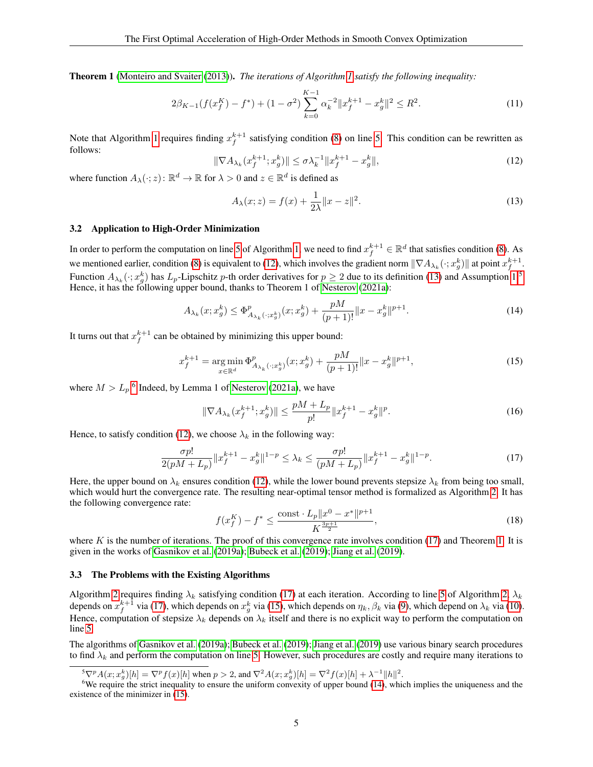Theorem 1 [\(Monteiro and Svaiter](#page-8-9) [\(2013\)](#page-8-9)). *The iterations of Algorithm [1](#page-3-3) satisfy the following inequality:*

$$
2\beta_{K-1}(f(x_f^K) - f^*) + (1 - \sigma^2) \sum_{k=0}^{K-1} \alpha_k^{-2} \|x_f^{k+1} - x_g^k\|^2 \le R^2.
$$
 (11)

<span id="page-4-0"></span>Note that Algorithm [1](#page-3-3) requires finding  $x_f^{k+1}$  satisfying condition [\(8\)](#page-3-4) on line [5.](#page-3-5) This condition can be rewritten as follows:

$$
\|\nabla A_{\lambda_k}(x_f^{k+1}; x_g^k)\| \le \sigma \lambda_k^{-1} \|x_f^{k+1} - x_g^k\|,\tag{12}
$$

where function  $A_{\lambda}(\cdot; z)$ :  $\mathbb{R}^d \to \mathbb{R}$  for  $\lambda > 0$  and  $z \in \mathbb{R}^d$  is defined as

<span id="page-4-7"></span><span id="page-4-6"></span><span id="page-4-1"></span>
$$
A_{\lambda}(x; z) = f(x) + \frac{1}{2\lambda} \|x - z\|^2.
$$
 (13)

#### 3.2 Application to High-Order Minimization

In order to perform the computation on line [5](#page-3-5) of Algorithm [1,](#page-3-3) we need to find  $x_f^{k+1} \in \mathbb{R}^d$  that satisfies condition [\(8\)](#page-3-4). As we mentioned earlier, condition [\(8\)](#page-3-4) is equivalent to [\(12\)](#page-4-0), which involves the gradient norm  $\|\nabla A_{\lambda_k}(\cdot; x_{g}^k)\|$  at point  $x_{f}^{k+1}$ . Function  $A_{\lambda_k}(\cdot; x_g^k)$  has  $L_p$ -Lipschitz p-th order derivatives for  $p \ge 2$  due to its definition [\(13\)](#page-4-1) and Assumption [1.](#page-2-0)<sup>[5](#page-4-2)</sup> Hence, it has the following upper bound, thanks to Theorem 1 of [Nesterov](#page-8-10) [\(2021a\)](#page-8-10):

$$
A_{\lambda_k}(x; x_g^k) \le \Phi^p_{A_{\lambda_k}(\cdot; x_g^k)}(x; x_g^k) + \frac{pM}{(p+1)!} \|x - x_g^k\|^{p+1}.
$$
 (14)

It turns out that  $x_f^{k+1}$  can be obtained by minimizing this upper bound:

$$
x_f^{k+1} = \underset{x \in \mathbb{R}^d}{\arg \min} \, \Phi_{A_{\lambda_k}(\cdot; x_g^k)}^p(x; x_g^k) + \frac{pM}{(p+1)!} \|x - x_g^k\|^{p+1},\tag{15}
$$

where  $M > L_p$ <sup>[6](#page-4-3)</sup> Indeed, by Lemma 1 of [Nesterov](#page-8-10) [\(2021a\)](#page-8-10), we have

<span id="page-4-5"></span><span id="page-4-4"></span>
$$
\|\nabla A_{\lambda_k}(x_f^{k+1}; x_g^k)\| \le \frac{pM + L_p}{p!} \|x_f^{k+1} - x_g^k\|^p. \tag{16}
$$

Hence, to satisfy condition [\(12\)](#page-4-0), we choose  $\lambda_k$  in the following way:

$$
\frac{\sigma p!}{2(pM + L_p)} \|x_f^{k+1} - x_g^k\|^{1-p} \le \lambda_k \le \frac{\sigma p!}{(pM + L_p)} \|x_f^{k+1} - x_g^k\|^{1-p}.\tag{17}
$$

Here, the upper bound on  $\lambda_k$  ensures condition [\(12\)](#page-4-0), while the lower bound prevents stepsize  $\lambda_k$  from being too small, which would hurt the convergence rate. The resulting near-optimal tensor method is formalized as Algorithm [2.](#page-5-1) It has the following convergence rate:

$$
f(x_f^K) - f^* \le \frac{\text{const} \cdot L_p \|x^0 - x^*\|^{p+1}}{K^{\frac{3p+1}{2}}},\tag{18}
$$

where  $K$  is the number of iterations. The proof of this convergence rate involves condition [\(17\)](#page-4-4) and Theorem [1.](#page-3-6) It is given in the works of [Gasnikov et al.](#page-8-11) [\(2019a\)](#page-8-11); [Bubeck et al.](#page-8-2) [\(2019\)](#page-8-2); [Jiang et al.](#page-8-3) [\(2019\)](#page-8-3).

#### 3.3 The Problems with the Existing Algorithms

Algorithm [2](#page-5-1) requires finding  $\lambda_k$  satisfying condition [\(17\)](#page-4-4) at each iteration. According to line [5](#page-3-5) of Algorithm [2,](#page-5-1)  $\lambda_k$ depends on  $x_f^{k+1}$  via [\(17\)](#page-4-4), which depends on  $x_g^k$  via [\(15\)](#page-4-5), which depends on  $\eta_k$ ,  $\beta_k$  via [\(9\)](#page-3-7), which depend on  $\lambda_k$  via [\(10\)](#page-3-8). Hence, computation of stepsize  $\lambda_k$  depends on  $\lambda_k$  itself and there is no explicit way to perform the computation on line [5.](#page-3-5)

The algorithms of [Gasnikov et al.](#page-8-11) [\(2019a\)](#page-8-11); [Bubeck et al.](#page-8-2) [\(2019\)](#page-8-2); [Jiang et al.](#page-8-3) [\(2019\)](#page-8-3) use various binary search procedures to find  $\lambda_k$  and perform the computation on line [5.](#page-3-5) However, such procedures are costly and require many iterations to

<span id="page-4-3"></span><span id="page-4-2"></span> ${}^{5}\nabla^{p}A(x;x_{g}^{k})[h] = \nabla^{p}f(x)[h]$  when  $p > 2$ , and  $\nabla^{2}A(x;x_{g}^{k})[h] = \nabla^{2}f(x)[h] + \lambda^{-1}||h||^{2}$ .

 $6$ We require the strict inequality to ensure the uniform convexity of upper bound [\(14\)](#page-4-6), which implies the uniqueness and the existence of the minimizer in [\(15\)](#page-4-5).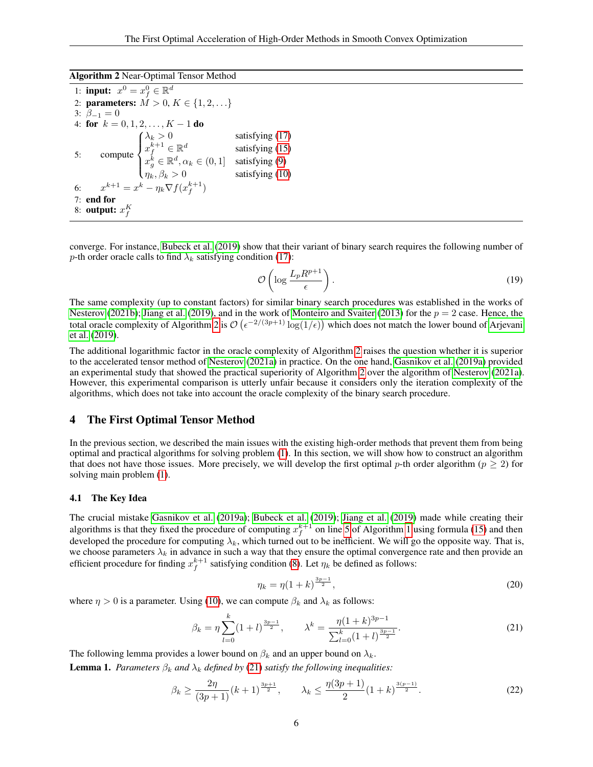Algorithm 2 Near-Optimal Tensor Method

<span id="page-5-1"></span>

|    | 1: <b>input:</b> $x^0 = x_f^0 \in \mathbb{R}^d$                                                                                                                                                                                                             |                                                           |
|----|-------------------------------------------------------------------------------------------------------------------------------------------------------------------------------------------------------------------------------------------------------------|-----------------------------------------------------------|
|    | 2: <b>parameters:</b> $M > 0, K \in \{1, 2, \}$                                                                                                                                                                                                             |                                                           |
|    | 3: $\beta_{-1} = 0$                                                                                                                                                                                                                                         |                                                           |
|    | 4: for $k = 0, 1, 2, , K - 1$ do                                                                                                                                                                                                                            |                                                           |
| 5: | $\text{compute} \begin{cases} \lambda_k > 0 & \text{satisfying (17)}\\ x_f^{k+1} \in \mathbb{R}^d & \text{satisfying (15)}\\ x_g^k \in \mathbb{R}^d, \alpha_k \in (0,1] & \text{satisfying (9)}\\ \eta_k, \beta_k > 0 & \text{satisfying (10)} \end{cases}$ | satisfying $(17)$<br>satisfying $(15)$<br>satisfying (10) |
|    | 6: $x^{k+1} = x^k - \eta_k \nabla f(x_f^{k+1})$                                                                                                                                                                                                             |                                                           |
|    | $7:$ end for                                                                                                                                                                                                                                                |                                                           |
|    | 8: <b>output:</b> $x_f^K$                                                                                                                                                                                                                                   |                                                           |

converge. For instance, [Bubeck et al.](#page-8-2) [\(2019\)](#page-8-2) show that their variant of binary search requires the following number of p-th order oracle calls to find  $\lambda_k$  satisfying condition [\(17\)](#page-4-4):

$$
\mathcal{O}\left(\log \frac{L_p R^{p+1}}{\epsilon}\right). \tag{19}
$$

The same complexity (up to constant factors) for similar binary search procedures was established in the works of [Nesterov](#page-8-13) [\(2021b\)](#page-8-13); [Jiang et al.](#page-8-3) [\(2019\)](#page-8-3), and in the work of [Monteiro and Svaiter](#page-8-9) [\(2013\)](#page-8-9) for the  $p = 2$  case. Hence, the total oracle complexity of Algorithm [2](#page-5-1) is  $\mathcal{O}(\epsilon^{-2/(3p+1)}\log(1/\epsilon))$  which does not match the lower bound of [Arjevani](#page-8-0) [et al.](#page-8-0) [\(2019\)](#page-8-0).

The additional logarithmic factor in the oracle complexity of Algorithm [2](#page-5-1) raises the question whether it is superior to the accelerated tensor method of [Nesterov](#page-8-10) [\(2021a\)](#page-8-10) in practice. On the one hand, [Gasnikov et al.](#page-8-11) [\(2019a\)](#page-8-11) provided an experimental study that showed the practical superiority of Algorithm [2](#page-5-1) over the algorithm of [Nesterov](#page-8-10) [\(2021a\)](#page-8-10). However, this experimental comparison is utterly unfair because it considers only the iteration complexity of the algorithms, which does not take into account the oracle complexity of the binary search procedure.

#### <span id="page-5-0"></span>4 The First Optimal Tensor Method

In the previous section, we described the main issues with the existing high-order methods that prevent them from being optimal and practical algorithms for solving problem [\(1\)](#page-0-0). In this section, we will show how to construct an algorithm that does not have those issues. More precisely, we will develop the first optimal p-th order algorithm ( $p \ge 2$ ) for solving main problem [\(1\)](#page-0-0).

#### 4.1 The Key Idea

The crucial mistake [Gasnikov et al.](#page-8-11) [\(2019a\)](#page-8-11); [Bubeck et al.](#page-8-2) [\(2019\)](#page-8-2); [Jiang et al.](#page-8-3) [\(2019\)](#page-8-3) made while creating their algorithms is that they fixed the procedure of computing  $x_f^{k+1}$  on line [5](#page-3-5) of Algorithm [1](#page-3-3) using formula [\(15\)](#page-4-5) and then developed the procedure for computing  $\lambda_k$ , which turned out to be inefficient. We will go the opposite way. That is, we choose parameters  $\lambda_k$  in advance in such a way that they ensure the optimal convergence rate and then provide an efficient procedure for finding  $x_f^{k+1}$  satisfying condition [\(8\)](#page-3-4). Let  $\eta_k$  be defined as follows:

<span id="page-5-4"></span><span id="page-5-2"></span>
$$
\eta_k = \eta (1 + k)^{\frac{3p - 1}{2}},\tag{20}
$$

where  $\eta > 0$  is a parameter. Using [\(10\)](#page-3-8), we can compute  $\beta_k$  and  $\lambda_k$  as follows:

$$
\beta_k = \eta \sum_{l=0}^k (1+l)^{\frac{3p-1}{2}}, \qquad \lambda^k = \frac{\eta (1+k)^{3p-1}}{\sum_{l=0}^k (1+l)^{\frac{3p-1}{2}}}.
$$
\n(21)

The following lemma provides a lower bound on  $\beta_k$  and an upper bound on  $\lambda_k$ .

<span id="page-5-3"></span>**Lemma 1.** *Parameters*  $\beta_k$  *and*  $\lambda_k$  *defined by* [\(21\)](#page-5-2) *satisfy the following inequalities:* 

$$
\beta_k \ge \frac{2\eta}{(3p+1)} (k+1)^{\frac{3p+1}{2}}, \qquad \lambda_k \le \frac{\eta(3p+1)}{2} (1+k)^{\frac{3(p-1)}{2}}.
$$
\n(22)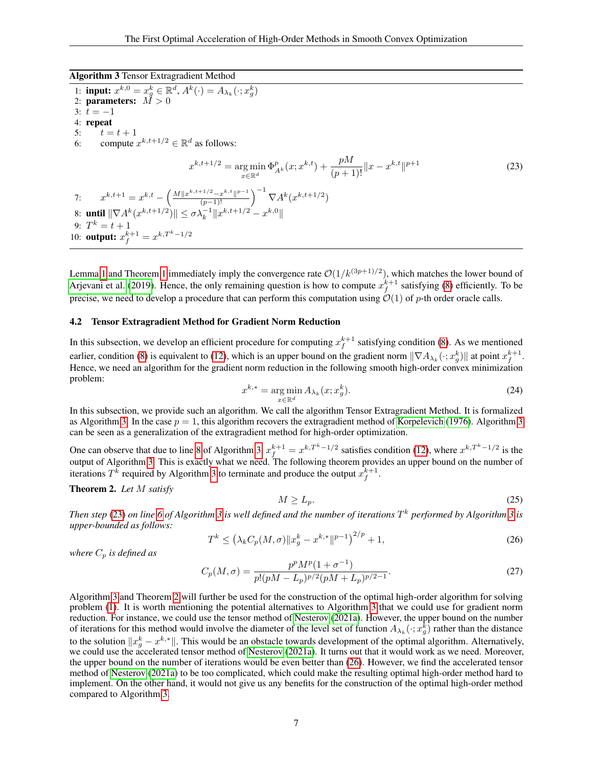Algorithm 3 Tensor Extragradient Method

<span id="page-6-1"></span><span id="page-6-0"></span>1: **input:**  $x^{k,0} = x_g^k \in \mathbb{R}^d$ ,  $A^k(\cdot) = A_{\lambda_k}(\cdot; x_g^k)$ 2: parameters:  $\dot{M} > 0$ 3:  $t = -1$ 4: repeat 5:  $t = t + 1$ 6: compute  $x^{k,t+1/2} \in \mathbb{R}^d$  as follows:  $x^{k,t+1/2} = \arg \min$  $x ∈ ℝ<sup>d</sup>$  $\Phi_{A^k}^p(x; x^{k,t}) + \frac{pM}{(p+1)!} ||x - x^{k,t}||^{p+1}$  (23) 7:  $x^{k,t+1} = x^{k,t} - \left(\frac{M||x^{k,t+1/2} - x^{k,t}||^{p-1}}{(p-1)!}\right)^{-1} \nabla A^k(x^{k,t+1/2})$ 8: **until**  $\|\nabla A^k(x^{k,t+1/2})\| \leq \sigma \lambda_k^{-1} \|x^{k,t+1/2} - x^{k,0}\|$ 9:  $T^k = t + 1$ 10: **output:**  $x_f^{k+1} = x^{k,T^k-1/2}$ 

Lemma [1](#page-3-6) and Theorem 1 immediately imply the convergence rate  $\mathcal{O}(1/k^{(3p+1)/2})$ , which matches the lower bound of [Arjevani et al.](#page-8-0) [\(2019\)](#page-8-0). Hence, the only remaining question is how to compute  $x_f^{k+1}$  satisfying [\(8\)](#page-3-4) efficiently. To be precise, we need to develop a procedure that can perform this computation using  $O(1)$  of p-th order oracle calls.

#### 4.2 Tensor Extragradient Method for Gradient Norm Reduction

In this subsection, we develop an efficient procedure for computing  $x_f^{k+1}$  satisfying condition [\(8\)](#page-3-4). As we mentioned earlier, condition [\(8\)](#page-3-4) is equivalent to [\(12\)](#page-4-0), which is an upper bound on the gradient norm  $\|\nabla A_{\lambda_k}(\cdot; x_g^k)\|$  at point  $x_f^{k+1}$ . Hence, we need an algorithm for the gradient norm reduction in the following smooth high-order convex minimization problem:

$$
x^{k,*} = \underset{x \in \mathbb{R}^d}{\arg \min} A_{\lambda_k}(x; x_g^k). \tag{24}
$$

In this subsection, we provide such an algorithm. We call the algorithm Tensor Extragradient Method. It is formalized as Algorithm [3.](#page-6-0) In the case  $p = 1$ , this algorithm recovers the extragradient method of [Korpelevich](#page-8-14) [\(1976\)](#page-8-14). Algorithm [3](#page-6-0) can be seen as a generalization of the extragradient method for high-order optimization.

One can observe that due to line [8](#page-3-9) of Algorithm [3,](#page-6-0)  $x_f^{k+1} = x^{k,T^k-1/2}$  satisfies condition [\(12\)](#page-4-0), where  $x^{k,T^k-1/2}$  is the output of Algorithm [3.](#page-6-0) This is exactly what we need. The following theorem provides an upper bound on the number of iterations  $T^k$  required by Algorithm [3](#page-6-0) to terminate and produce the output  $x_f^{k+1}$ .

#### <span id="page-6-2"></span>Theorem 2. *Let* M *satisfy*

$$
M \ge L_p. \tag{25}
$$

*Then step* [\(23\)](#page-6-1) *on line [6](#page-6-1) of Algorithm [3](#page-6-0) is well defined and the number of iterations* T <sup>k</sup> *performed by Algorithm [3](#page-6-0) is upper-bounded as follows:*

<span id="page-6-4"></span><span id="page-6-3"></span>
$$
T^{k} \le \left(\lambda_{k} C_{p}(M,\sigma) \|x_{g}^{k} - x^{k,*} \|^{p-1}\right)^{2/p} + 1, \tag{26}
$$

*where*  $C_p$  *is defined as* 

<span id="page-6-5"></span>
$$
C_p(M,\sigma) = \frac{p^p M^p (1 + \sigma^{-1})}{p! (pM - L_p)^{p/2} (pM + L_p)^{p/2 - 1}}.
$$
\n(27)

Algorithm [3](#page-6-0) and Theorem [2](#page-6-2) will further be used for the construction of the optimal high-order algorithm for solving problem [\(1\)](#page-0-0). It is worth mentioning the potential alternatives to Algorithm [3](#page-6-0) that we could use for gradient norm reduction. For instance, we could use the tensor method of [Nesterov](#page-8-10) [\(2021a\)](#page-8-10). However, the upper bound on the number of iterations for this method would involve the diameter of the level set of function  $A_{\lambda_k}(\cdot; x_g^k)$  rather than the distance to the solution  $\|x_g^k - x^{k,*}\|$ . This would be an obstacle towards development of the optimal algorithm. Alternatively, we could use the accelerated tensor method of [Nesterov](#page-8-10) [\(2021a\)](#page-8-10). It turns out that it would work as we need. Moreover, the upper bound on the number of iterations would be even better than [\(26\)](#page-6-3). However, we find the accelerated tensor method of [Nesterov](#page-8-10) [\(2021a\)](#page-8-10) to be too complicated, which could make the resulting optimal high-order method hard to implement. On the other hand, it would not give us any benefits for the construction of the optimal high-order method compared to Algorithm [3.](#page-6-0)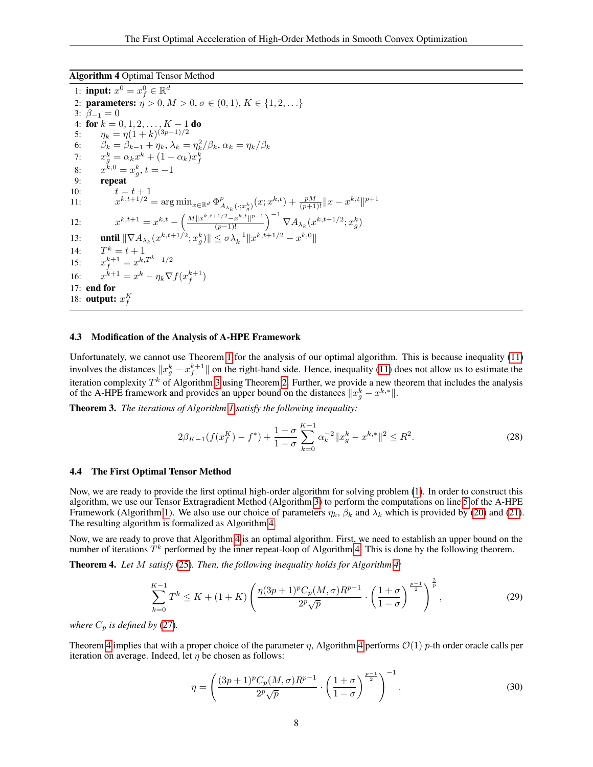Algorithm 4 Optimal Tensor Method

<span id="page-7-0"></span>1: **input:**  $x^0 = x_f^0 \in \mathbb{R}^d$ 2: parameters:  $\eta > 0, M > 0, \sigma \in (0, 1), K \in \{1, 2, ...\}$ 3:  $\beta_{-1} = 0$ 4: for  $k = 0, 1, 2, ..., K - 1$  do 5:  $\eta_k = \eta(1+k)^{(3p-1)/2}$ 6:  $\beta_k = \beta_{k-1} + \eta_k, \lambda_k = \eta_k^2/\beta_k, \alpha_k = \eta_k/\beta_k$ 7:  $x_g^k = \alpha_k x^k + (1 - \alpha_k) x_f^k$ 8:  $x^{k,0} = x_g^k, t = -1$ 9: repeat 10:  $t = t + 1$ 11:  $x^{k,t+1/2} = \arg \min_{x \in \mathbb{R}^d} \Phi^p_A$  $_{A_{\lambda_{k}}(\cdot;x_{g}^{k})}(x;x^{k,t})+\frac{pM}{(p+1)!}\|x-x^{k,t}\|^{p+1}$ 12:  $x^{k,t+1} = x^{k,t} - \left(\frac{M||x^{k,t+1/2} - x^{k,t}||^{p-1}}{(p-1)!}\right)^{-1} \nabla A_{\lambda_k}(x^{k,t+1/2}; x_g^k)$ 13: **until**  $\|\nabla A_{\lambda_k}(x^{k,t+1/2}; x_g^k)\| \leq \sigma \lambda_k^{-1} \|x^{k,t+1/2} - x^{k,0}\|$  $14:$  $k = t + 1$ 15:  $x_f^{k+1} = x^{k,T^k-1/2}$  $16:$  $x^{k+1} = x^k - \eta_k \nabla f(x_f^{k+1})$ 17: end for 18: **output:**  $x_f^K$ 

#### 4.3 Modification of the Analysis of A-HPE Framework

Unfortunately, we cannot use Theorem [1](#page-3-6) for the analysis of our optimal algorithm. This is because inequality [\(11\)](#page-4-7) involves the distances  $||x_g^k - x_f^{k+1}||$  on the right-hand side. Hence, inequality [\(11\)](#page-4-7) does not allow us to estimate the iteration complexity  $T^k$  of Algorithm [3](#page-6-0) using Theorem [2.](#page-6-2) Further, we provide a new theorem that includes the analysis of the A-HPE framework and provides an upper bound on the distances  $||x_g^k - x^{k,*}||$ .

<span id="page-7-3"></span>Theorem 3. *The iterations of Algorithm [1](#page-3-3) satisfy the following inequality:*

$$
2\beta_{K-1}(f(x_j^K) - f^*) + \frac{1-\sigma}{1+\sigma} \sum_{k=0}^{K-1} \alpha_k^{-2} \|x_g^k - x^{k,*}\|^2 \le R^2. \tag{28}
$$

#### 4.4 The First Optimal Tensor Method

Now, we are ready to provide the first optimal high-order algorithm for solving problem [\(1\)](#page-0-0). In order to construct this algorithm, we use our Tensor Extragradient Method (Algorithm [3\)](#page-6-0) to perform the computations on line [5](#page-3-5) of the A-HPE Framework (Algorithm [1\)](#page-3-3). We also use our choice of parameters  $\eta_k$ ,  $\beta_k$  and  $\lambda_k$  which is provided by [\(20\)](#page-5-4) and [\(21\)](#page-5-2). The resulting algorithm is formalized as Algorithm [4.](#page-7-0)

Now, we are ready to prove that Algorithm [4](#page-7-0) is an optimal algorithm. First, we need to establish an upper bound on the number of iterations  $\hat{T}^k$  performed by the inner repeat-loop of Algorithm [4.](#page-7-0) This is done by the following theorem.

<span id="page-7-1"></span>Theorem 4. *Let* M *satisfy* [\(25\)](#page-6-4)*. Then, the following inequality holds for Algorithm [4:](#page-7-0)*

$$
\sum_{k=0}^{K-1} T^k \le K + (1+K) \left( \frac{\eta(3p+1)^p C_p(M,\sigma) R^{p-1}}{2^p \sqrt{p}} \cdot \left( \frac{1+\sigma}{1-\sigma} \right)^{\frac{p-1}{2}} \right)^{\frac{2}{p}},\tag{29}
$$

*where*  $C_p$  *is defined by* [\(27\)](#page-6-5).

Theorem [4](#page-7-0) implies that with a proper choice of the parameter  $\eta$ , Algorithm 4 performs  $\mathcal{O}(1)$  p-th order oracle calls per iteration on average. Indeed, let  $\eta$  be chosen as follows:

<span id="page-7-2"></span>
$$
\eta = \left(\frac{(3p+1)^p C_p(M,\sigma) R^{p-1}}{2^p \sqrt{p}} \cdot \left(\frac{1+\sigma}{1-\sigma}\right)^{\frac{p-1}{2}}\right)^{-1}.
$$
\n(30)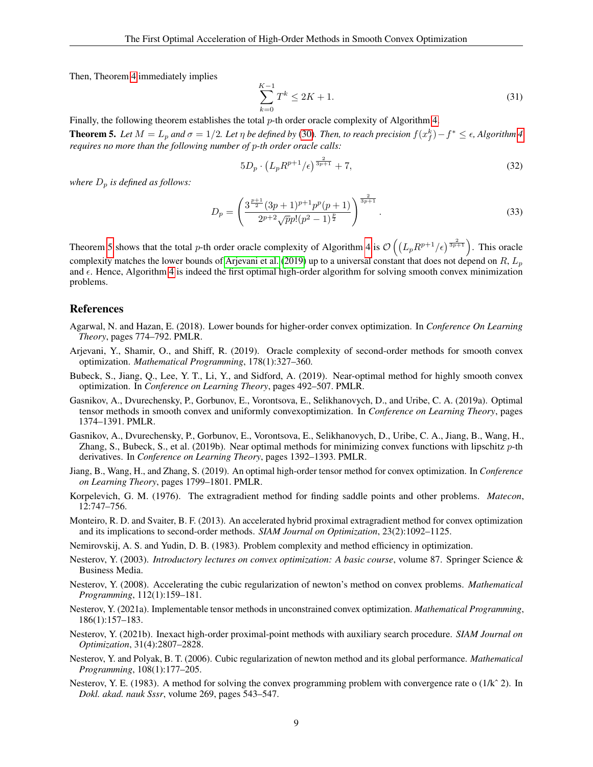Then, Theorem [4](#page-7-1) immediately implies

<span id="page-8-16"></span>
$$
\sum_{k=0}^{K-1} T^k \le 2K + 1.
$$
\n(31)

Finally, the following theorem establishes the total p-th order oracle complexity of Algorithm [4.](#page-7-0)

<span id="page-8-15"></span>**Theorem 5.** Let  $M = L_p$  and  $\sigma = 1/2$ . Let  $\eta$  be defined by [\(30\)](#page-7-2). Then, to reach precision  $f(x_f^k) - f^* \leq \epsilon$ , Algorithm [4](#page-7-0) *requires no more than the following number of* p*-th order oracle calls:*

$$
5D_p \cdot \left(L_p R^{p+1}/\epsilon\right)^{\frac{2}{3p+1}} + 7,\tag{32}
$$

*where*  $D_p$  *is defined as follows:* 

$$
D_p = \left(\frac{3^{\frac{p+1}{2}}(3p+1)^{p+1}p^p(p+1)}{2^{p+2}\sqrt{p}p!(p^2-1)^{\frac{p}{2}}}\right)^{\frac{2}{3p+1}}.\tag{33}
$$

Theorem [5](#page-8-15) shows that the total p-th order oracle complexity of Algorithm [4](#page-7-0) is  $\mathcal{O}\left(\left(L_p R^{p+1}/\epsilon\right)^{\frac{2}{3p+1}}\right)$ . This oracle complexity matches the lower bounds of [Arjevani et al.](#page-8-0) [\(2019\)](#page-8-0) up to a universal constant that does not depend on  $R$ ,  $L_p$ and  $\epsilon$ . Hence, Algorithm [4](#page-7-0) is indeed the first optimal high-order algorithm for solving smooth convex minimization problems.

#### References

- <span id="page-8-12"></span>Agarwal, N. and Hazan, E. (2018). Lower bounds for higher-order convex optimization. In *Conference On Learning Theory*, pages 774–792. PMLR.
- <span id="page-8-0"></span>Arjevani, Y., Shamir, O., and Shiff, R. (2019). Oracle complexity of second-order methods for smooth convex optimization. *Mathematical Programming*, 178(1):327–360.
- <span id="page-8-2"></span>Bubeck, S., Jiang, Q., Lee, Y. T., Li, Y., and Sidford, A. (2019). Near-optimal method for highly smooth convex optimization. In *Conference on Learning Theory*, pages 492–507. PMLR.
- <span id="page-8-11"></span>Gasnikov, A., Dvurechensky, P., Gorbunov, E., Vorontsova, E., Selikhanovych, D., and Uribe, C. A. (2019a). Optimal tensor methods in smooth convex and uniformly convexoptimization. In *Conference on Learning Theory*, pages 1374–1391. PMLR.
- <span id="page-8-1"></span>Gasnikov, A., Dvurechensky, P., Gorbunov, E., Vorontsova, E., Selikhanovych, D., Uribe, C. A., Jiang, B., Wang, H., Zhang, S., Bubeck, S., et al. (2019b). Near optimal methods for minimizing convex functions with lipschitz p-th derivatives. In *Conference on Learning Theory*, pages 1392–1393. PMLR.
- <span id="page-8-3"></span>Jiang, B., Wang, H., and Zhang, S. (2019). An optimal high-order tensor method for convex optimization. In *Conference on Learning Theory*, pages 1799–1801. PMLR.
- <span id="page-8-14"></span>Korpelevich, G. M. (1976). The extragradient method for finding saddle points and other problems. *Matecon*, 12:747–756.
- <span id="page-8-9"></span>Monteiro, R. D. and Svaiter, B. F. (2013). An accelerated hybrid proximal extragradient method for convex optimization and its implications to second-order methods. *SIAM Journal on Optimization*, 23(2):1092–1125.
- <span id="page-8-4"></span>Nemirovskij, A. S. and Yudin, D. B. (1983). Problem complexity and method efficiency in optimization.
- <span id="page-8-5"></span>Nesterov, Y. (2003). *Introductory lectures on convex optimization: A basic course*, volume 87. Springer Science & Business Media.
- <span id="page-8-8"></span>Nesterov, Y. (2008). Accelerating the cubic regularization of newton's method on convex problems. *Mathematical Programming*, 112(1):159–181.
- <span id="page-8-10"></span>Nesterov, Y. (2021a). Implementable tensor methods in unconstrained convex optimization. *Mathematical Programming*, 186(1):157–183.
- <span id="page-8-13"></span>Nesterov, Y. (2021b). Inexact high-order proximal-point methods with auxiliary search procedure. *SIAM Journal on Optimization*, 31(4):2807–2828.
- <span id="page-8-7"></span>Nesterov, Y. and Polyak, B. T. (2006). Cubic regularization of newton method and its global performance. *Mathematical Programming*, 108(1):177–205.
- <span id="page-8-6"></span>Nesterov, Y. E. (1983). A method for solving the convex programming problem with convergence rate o (1/k<sup> $\hat{ }$ </sup> 2). In *Dokl. akad. nauk Sssr*, volume 269, pages 543–547.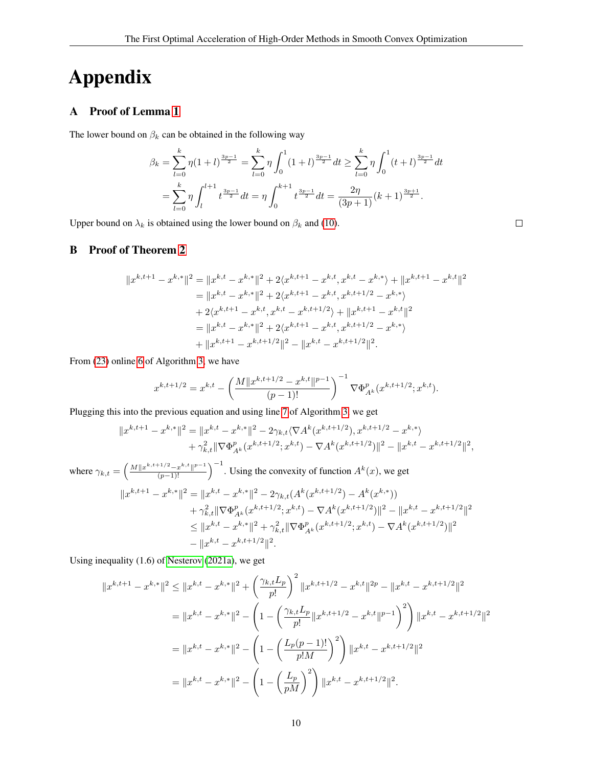# Appendix

## A Proof of Lemma [1](#page-5-3)

The lower bound on  $\beta_k$  can be obtained in the following way

$$
\beta_k = \sum_{l=0}^k \eta \left(1+l\right)^{\frac{3p-1}{2}} = \sum_{l=0}^k \eta \int_0^1 \left(1+l\right)^{\frac{3p-1}{2}} dt \ge \sum_{l=0}^k \eta \int_0^1 \left(t+l\right)^{\frac{3p-1}{2}} dt
$$

$$
= \sum_{l=0}^k \eta \int_l^{l+1} t^{\frac{3p-1}{2}} dt = \eta \int_0^{k+1} t^{\frac{3p-1}{2}} dt = \frac{2\eta}{(3p+1)} (k+1)^{\frac{3p+1}{2}}.
$$

 $\Box$ 

Upper bound on  $\lambda_k$  is obtained using the lower bound on  $\beta_k$  and [\(10\)](#page-3-8).

B Proof of Theorem [2](#page-6-2)

$$
||x^{k,t+1} - x^{k,*}||^2 = ||x^{k,t} - x^{k,*}||^2 + 2\langle x^{k,t+1} - x^{k,t}, x^{k,t} - x^{k,*}\rangle + ||x^{k,t+1} - x^{k,t}||^2
$$
  
\n
$$
= ||x^{k,t} - x^{k,*}||^2 + 2\langle x^{k,t+1} - x^{k,t}, x^{k,t+1/2} - x^{k,*}\rangle
$$
  
\n
$$
+ 2\langle x^{k,t+1} - x^{k,t}, x^{k,t} - x^{k,t+1/2}\rangle + ||x^{k,t+1} - x^{k,t}||^2
$$
  
\n
$$
= ||x^{k,t} - x^{k,*}||^2 + 2\langle x^{k,t+1} - x^{k,t}, x^{k,t+1/2} - x^{k,*}\rangle
$$
  
\n
$$
+ ||x^{k,t+1} - x^{k,t+1/2}||^2 - ||x^{k,t} - x^{k,t+1/2}||^2.
$$

From [\(23\)](#page-6-1) online [6](#page-6-1) of Algorithm [3,](#page-6-0) we have

$$
x^{k,t+1/2} = x^{k,t} - \left(\frac{M||x^{k,t+1/2} - x^{k,t}||^{p-1}}{(p-1)!}\right)^{-1} \nabla \Phi_{A^k}^p(x^{k,t+1/2}; x^{k,t}).
$$

Plugging this into the previous equation and using line [7](#page-3-10) of Algorithm [3,](#page-6-0) we get

$$
||x^{k,t+1} - x^{k,*}||^2 = ||x^{k,t} - x^{k,*}||^2 - 2\gamma_{k,t}\langle \nabla A^k(x^{k,t+1/2}), x^{k,t+1/2} - x^{k,*}\rangle
$$
  
+  $\gamma_{k,t}^2 ||\nabla \Phi_{A^k}^p(x^{k,t+1/2}; x^{k,t}) - \nabla A^k(x^{k,t+1/2})||^2 - ||x^{k,t} - x^{k,t+1/2}||^2,$ 

where  $\gamma_{k,t} = \left(\frac{M||x^{k,t+1/2}-x^{k,t}||^{p-1}}{(p-1)!}\right)^{-1}$ . Using the convexity of function  $A^k(x)$ , we get  $||x^{k,t+1} - x^{k,*}||^2 = ||x^{k,t} - x^{k,*}||^2 - 2\gamma_{k,t}(A^k(x^{k,t+1/2}) - A^k(x^{k,*}))$  $+ \gamma_{k,t}^2 \|\nabla \Phi_{A^k}^p(x^{k,t+1/2};x^{k,t}) - \nabla A^k (x^{k,t+1/2})\|^2 - \|x^{k,t} - x^{k,t+1/2}\|^2$  $\leq \|x^{k,t} - x^{k,*}\|^2 + \gamma_{k,t}^2 \|\nabla \Phi_{A^k}^p(x^{k,t+1/2};x^{k,t}) - \nabla A^k (x^{k,t+1/2})\|^2$  $-||x^{k,t}-x^{k,t+1/2}||^2.$ 

Using inequality (1.6) of [Nesterov](#page-8-10) [\(2021a\)](#page-8-10), we get

$$
||x^{k,t+1} - x^{k,*}||^2 \le ||x^{k,t} - x^{k,*}||^2 + \left(\frac{\gamma_{k,t}L_p}{p!}\right)^2 ||x^{k,t+1/2} - x^{k,t}||^{2p} - ||x^{k,t} - x^{k,t+1/2}||^2
$$
  

$$
= ||x^{k,t} - x^{k,*}||^2 - \left(1 - \left(\frac{\gamma_{k,t}L_p}{p!}||x^{k,t+1/2} - x^{k,t}||^{p-1}\right)^2\right) ||x^{k,t} - x^{k,t+1/2}||^2
$$
  

$$
= ||x^{k,t} - x^{k,*}||^2 - \left(1 - \left(\frac{L_p(p-1)!}{p!M}\right)^2\right) ||x^{k,t} - x^{k,t+1/2}||^2
$$
  

$$
= ||x^{k,t} - x^{k,*}||^2 - \left(1 - \left(\frac{L_p}{pM}\right)^2\right) ||x^{k,t} - x^{k,t+1/2}||^2.
$$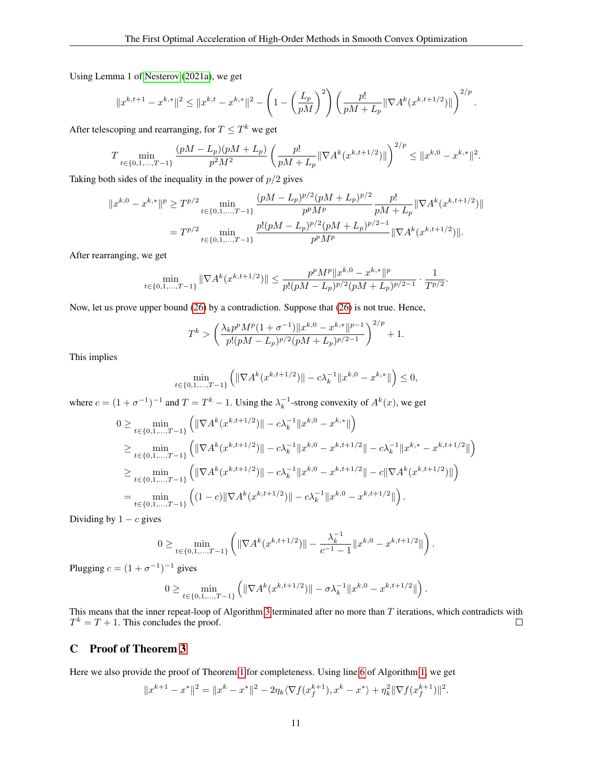Using Lemma 1 of [Nesterov](#page-8-10) [\(2021a\)](#page-8-10), we get

$$
||x^{k,t+1} - x^{k,*}||^2 \le ||x^{k,t} - x^{k,*}||^2 - \left(1 - \left(\frac{L_p}{pM}\right)^2\right) \left(\frac{p!}{pM + L_p} ||\nabla A^k(x^{k,t+1/2})||\right)^{2/p}.
$$

After telescoping and rearranging, for  $T \leq T^k$  we get

$$
T \min_{t \in \{0, 1, \dots, T-1\}} \frac{(pM - L_p)(pM + L_p)}{p^2 M^2} \left( \frac{p!}{pM + L_p} \|\nabla A^k (x^{k, t+1/2})\| \right)^{2/p} \le \|x^{k, 0} - x^{k, *}\|^2.
$$

Taking both sides of the inequality in the power of  $p/2$  gives

$$
||x^{k,0} - x^{k,*}||^p \ge T^{p/2} \min_{t \in \{0,1,\ldots,T-1\}} \frac{(pM - L_p)^{p/2} (pM + L_p)^{p/2}}{p^p M^p} \frac{p!}{pM + L_p} ||\nabla A^k (x^{k,t+1/2})||
$$
  
=  $T^{p/2} \min_{t \in \{0,1,\ldots,T-1\}} \frac{p!(pM - L_p)^{p/2} (pM + L_p)^{p/2 - 1}}{p^p M^p} ||\nabla A^k (x^{k,t+1/2})||.$ 

After rearranging, we get

$$
\min_{t \in \{0,1,\dots,T-1\}} \|\nabla A^k(x^{k,t+1/2})\| \le \frac{p^p M^p \|x^{k,0} - x^{k,*}\|^p}{p!(pM - L_p)^{p/2}(pM + L_p)^{p/2-1}} \cdot \frac{1}{T^{p/2}}.
$$

Now, let us prove upper bound [\(26\)](#page-6-3) by a contradiction. Suppose that [\(26\)](#page-6-3) is not true. Hence,

$$
T^{k} > \left(\frac{\lambda_k p^p M^p (1 + \sigma^{-1}) \|x^{k,0} - x^{k,*}\|^{p-1}}{p!(pM - L_p)^{p/2}(pM + L_p)^{p/2-1}}\right)^{2/p} + 1.
$$

This implies

$$
\min_{t \in \{0, 1, \dots, T-1\}} \left( \|\nabla A^k(x^{k, t+1/2})\| - c\lambda_k^{-1} \|x^{k, 0} - x^{k, *}\| \right) \le 0,
$$

where  $c = (1 + \sigma^{-1})^{-1}$  and  $T = T^k - 1$ . Using the  $\lambda_k^{-1}$ -strong convexity of  $A^k(x)$ , we get

$$
0 \geq \min_{t \in \{0, 1, \dots, T-1\}} \left( \|\nabla A^k(x^{k, t+1/2})\| - c\lambda_k^{-1} \|x^{k, 0} - x^{k, *}\| \right)
$$
  
\n
$$
\geq \min_{t \in \{0, 1, \dots, T-1\}} \left( \|\nabla A^k(x^{k, t+1/2})\| - c\lambda_k^{-1} \|x^{k, 0} - x^{k, t+1/2}\| - c\lambda_k^{-1} \|x^{k, *} - x^{k, t+1/2}\| \right)
$$
  
\n
$$
\geq \min_{t \in \{0, 1, \dots, T-1\}} \left( \|\nabla A^k(x^{k, t+1/2})\| - c\lambda_k^{-1} \|x^{k, 0} - x^{k, t+1/2}\| - c\|\nabla A^k(x^{k, t+1/2})\| \right)
$$
  
\n
$$
= \min_{t \in \{0, 1, \dots, T-1\}} \left( (1 - c) \|\nabla A^k(x^{k, t+1/2})\| - c\lambda_k^{-1} \|x^{k, 0} - x^{k, t+1/2}\| \right).
$$

Dividing by  $1 - c$  gives

$$
0 \geq \min_{t \in \{0, 1, \dots, T-1\}} \left( \|\nabla A^k(x^{k, t+1/2})\| - \frac{\lambda_k^{-1}}{c^{-1} - 1} \|x^{k, 0} - x^{k, t+1/2}\| \right).
$$

Plugging  $c = (1 + \sigma^{-1})^{-1}$  gives

$$
0 \geq \min_{t \in \{0, 1, \dots, T-1\}} \left( \|\nabla A^k(x^{k, t+1/2})\| - \sigma \lambda_k^{-1} \|x^{k, 0} - x^{k, t+1/2}\| \right).
$$

This means that the inner repeat-loop of Algorithm [3](#page-6-0) terminated after no more than  $T$  iterations, which contradicts with  $T^k = T + 1$ . This concludes the proof.  $\Box$ 

#### C Proof of Theorem [3](#page-7-3)

Here we also provide the proof of Theorem [1](#page-3-6) for completeness. Using line [6](#page-3-11) of Algorithm [1,](#page-3-3) we get

$$
||x^{k+1} - x^*||^2 = ||x^k - x^*||^2 - 2\eta_k \langle \nabla f(x_f^{k+1}), x^k - x^* \rangle + \eta_k^2 ||\nabla f(x_f^{k+1})||^2.
$$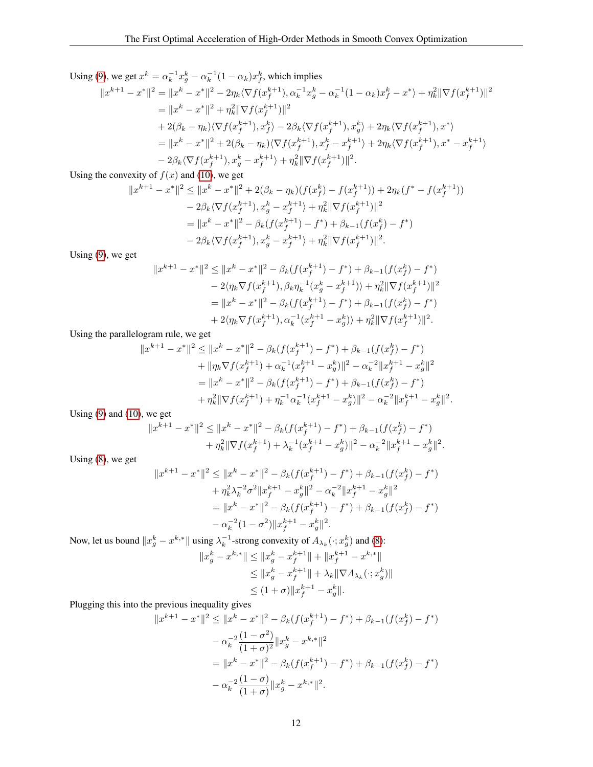Using [\(9\)](#page-3-7), we get  $x^k = \alpha_k^{-1} x_g^k - \alpha_k^{-1} (1 - \alpha_k) x_f^k$ , which implies

$$
||x^{k+1} - x^*||^2 = ||x^k - x^*||^2 - 2\eta_k \langle \nabla f(x_f^{k+1}), \alpha_k^{-1} x_g^k - \alpha_k^{-1} (1 - \alpha_k) x_f^k - x^* \rangle + \eta_k^2 ||\nabla f(x_f^{k+1})||^2
$$
  
\n
$$
= ||x^k - x^*||^2 + \eta_k^2 ||\nabla f(x_f^{k+1})||^2
$$
  
\n
$$
+ 2(\beta_k - \eta_k) \langle \nabla f(x_f^{k+1}), x_f^k \rangle - 2\beta_k \langle \nabla f(x_f^{k+1}), x_g^k \rangle + 2\eta_k \langle \nabla f(x_f^{k+1}), x^* \rangle
$$
  
\n
$$
= ||x^k - x^*||^2 + 2(\beta_k - \eta_k) \langle \nabla f(x_f^{k+1}), x_f^k - x_f^{k+1} \rangle + 2\eta_k \langle \nabla f(x_f^{k+1}), x^* - x_f^{k+1} \rangle
$$
  
\n
$$
- 2\beta_k \langle \nabla f(x_f^{k+1}), x_g^k - x_f^{k+1} \rangle + \eta_k^2 ||\nabla f(x_f^{k+1})||^2.
$$

Using the convexity of  $f(x)$  and [\(10\)](#page-3-8), we get

$$
||x^{k+1} - x^*||^2 \le ||x^k - x^*||^2 + 2(\beta_k - \eta_k)(f(x_f^k) - f(x_f^{k+1})) + 2\eta_k(f^* - f(x_f^{k+1}))
$$
  
\n
$$
- 2\beta_k \langle \nabla f(x_f^{k+1}), x_g^k - x_f^{k+1} \rangle + \eta_k^2 ||\nabla f(x_f^{k+1})||^2
$$
  
\n
$$
= ||x^k - x^*||^2 - \beta_k(f(x_f^{k+1}) - f^*) + \beta_{k-1}(f(x_f^k) - f^*)
$$
  
\n
$$
- 2\beta_k \langle \nabla f(x_f^{k+1}), x_g^k - x_f^{k+1} \rangle + \eta_k^2 ||\nabla f(x_f^{k+1})||^2.
$$

Using [\(9\)](#page-3-7), we get

$$
||x^{k+1} - x^*||^2 \le ||x^k - x^*||^2 - \beta_k(f(x_f^{k+1}) - f^*) + \beta_{k-1}(f(x_f^k) - f^*)
$$
  
\n
$$
- 2\langle \eta_k \nabla f(x_f^{k+1}), \beta_k \eta_k^{-1}(x_g^k - x_f^{k+1}) \rangle + \eta_k^2 ||\nabla f(x_f^{k+1})||^2
$$
  
\n
$$
= ||x^k - x^*||^2 - \beta_k(f(x_f^{k+1}) - f^*) + \beta_{k-1}(f(x_f^k) - f^*)
$$
  
\n
$$
+ 2\langle \eta_k \nabla f(x_f^{k+1}), \alpha_k^{-1}(x_f^{k+1} - x_g^k) \rangle + \eta_k^2 ||\nabla f(x_f^{k+1})||^2.
$$

Using the parallelogram rule, we get

$$
||x^{k+1} - x^*||^2 \le ||x^k - x^*||^2 - \beta_k(f(x_f^{k+1}) - f^*) + \beta_{k-1}(f(x_f^k) - f^*)
$$
  
+ 
$$
||\eta_k \nabla f(x_f^{k+1}) + \alpha_k^{-1}(x_f^{k+1} - x_g^k)||^2 - \alpha_k^{-2}||x_f^{k+1} - x_g^k||^2
$$
  
= 
$$
||x^k - x^*||^2 - \beta_k(f(x_f^{k+1}) - f^*) + \beta_{k-1}(f(x_f^k) - f^*)
$$
  
+ 
$$
\eta_k^2 ||\nabla f(x_f^{k+1}) + \eta_k^{-1}\alpha_k^{-1}(x_f^{k+1} - x_g^k)||^2 - \alpha_k^{-2}||x_f^{k+1} - x_g^k||^2.
$$

Using [\(9\)](#page-3-7) and [\(10\)](#page-3-8), we get

$$
||x^{k+1} - x^*||^2 \le ||x^k - x^*||^2 - \beta_k(f(x_f^{k+1}) - f^*) + \beta_{k-1}(f(x_f^k) - f^*)
$$
  
+ 
$$
\eta_k^2 ||\nabla f(x_f^{k+1}) + \lambda_k^{-1}(x_f^{k+1} - x_g^k) ||^2 - \alpha_k^{-2} ||x_f^{k+1} - x_g^k||^2.
$$

Using [\(8\)](#page-3-4), we get

$$
||x^{k+1} - x^*||^2 \le ||x^k - x^*||^2 - \beta_k(f(x_f^{k+1}) - f^*) + \beta_{k-1}(f(x_f^k) - f^*)
$$
  
+  $\eta_k^2 \lambda_k^{-2} \sigma^2 ||x_f^{k+1} - x_g^k||^2 - \alpha_k^{-2} ||x_f^{k+1} - x_g^k||^2$   
=  $||x^k - x^*||^2 - \beta_k(f(x_f^{k+1}) - f^*) + \beta_{k-1}(f(x_f^k) - f^*)$   
-  $\alpha_k^{-2} (1 - \sigma^2) ||x_f^{k+1} - x_g^k||^2$ .

Now, let us bound  $||x_g^k - x^{k,*}||$  using  $\lambda_k^{-1}$ -strong convexity of  $A_{\lambda_k}(\cdot; x_g^k)$  and [\(8\)](#page-3-4):  $||x_g^k - x^{k,*}|| \le ||x_g^k - x_f^{k+1}|| + ||x_f^{k+1} - x^{k,*}||$  $\leq \|x_g^k - x_f^{k+1}\| + \lambda_k \|\nabla A_{\lambda_k}(\cdot; x_g^k)\|$  $\leq (1+\sigma)\|x_f^{k+1} - x_g^k\|.$ 

Plugging this into the previous inequality gives

$$
||x^{k+1} - x^*||^2 \le ||x^k - x^*||^2 - \beta_k(f(x_f^{k+1}) - f^*) + \beta_{k-1}(f(x_f^k) - f^*)
$$
  

$$
- \alpha_k^{-2} \frac{(1 - \sigma^2)}{(1 + \sigma)^2} ||x_g^k - x^{k,*}||^2
$$
  

$$
= ||x^k - x^*||^2 - \beta_k(f(x_f^{k+1}) - f^*) + \beta_{k-1}(f(x_f^k) - f^*)
$$
  

$$
- \alpha_k^{-2} \frac{(1 - \sigma)}{(1 + \sigma)} ||x_g^k - x^{k,*}||^2.
$$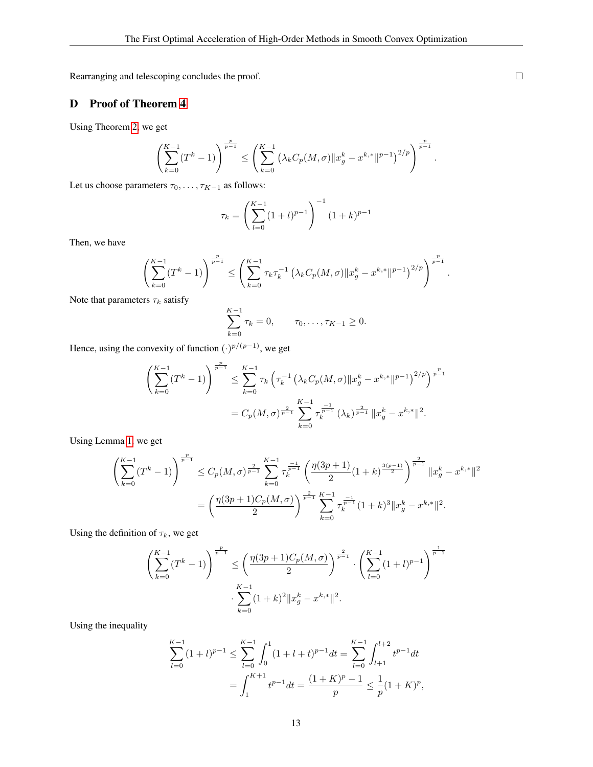Rearranging and telescoping concludes the proof.

## D Proof of Theorem [4](#page-7-1)

Using Theorem [2,](#page-6-2) we get

$$
\left(\sum_{k=0}^{K-1} (T^k - 1)\right)^{\frac{p}{p-1}} \le \left(\sum_{k=0}^{K-1} \left(\lambda_k C_p(M, \sigma) \|x_g^k - x^{k,*}\|^{p-1}\right)^{2/p}\right)^{\frac{p}{p-1}}.
$$

Let us choose parameters  $\tau_0, \ldots, \tau_{K-1}$  as follows:

$$
\tau_k = \left(\sum_{l=0}^{K-1} (1+l)^{p-1}\right)^{-1} (1+k)^{p-1}
$$

Then, we have

$$
\left(\sum_{k=0}^{K-1} (T^k - 1)\right)^{\frac{p}{p-1}} \le \left(\sum_{k=0}^{K-1} \tau_k \tau_k^{-1} \left(\lambda_k C_p(M, \sigma) \|x_g^k - x^{k,*} \|^{{p-1}}\right)^{2/p}\right)^{\frac{p}{p-1}}.
$$

Note that parameters  $\tau_k$  satisfy

$$
\sum_{k=0}^{K-1} \tau_k = 0, \qquad \tau_0, \ldots, \tau_{K-1} \ge 0.
$$

Hence, using the convexity of function  $(·)^{p/(p-1)}$ , we get

$$
\left(\sum_{k=0}^{K-1} (T^k - 1)\right)^{\frac{p}{p-1}} \le \sum_{k=0}^{K-1} \tau_k \left(\tau_k^{-1} \left(\lambda_k C_p(M, \sigma) \|x_g^k - x^{k,*}\|^{p-1}\right)^{2/p}\right)^{\frac{p}{p-1}}
$$
  
=  $C_p(M, \sigma)^{\frac{2}{p-1}} \sum_{k=0}^{K-1} \tau_k^{\frac{-1}{p-1}} (\lambda_k)^{\frac{2}{p-1}} \|x_g^k - x^{k,*}\|^2.$ 

Using Lemma [1,](#page-5-3) we get

$$
\left(\sum_{k=0}^{K-1} (T^k - 1)\right)^{\frac{p}{p-1}} \le C_p(M, \sigma)^{\frac{2}{p-1}} \sum_{k=0}^{K-1} \tau_k^{\frac{-1}{p-1}} \left(\frac{\eta(3p+1)}{2} (1+k)^{\frac{3(p-1)}{2}}\right)^{\frac{2}{p-1}} \|x_g^k - x^{k,*}\|^2
$$

$$
= \left(\frac{\eta(3p+1)C_p(M, \sigma)}{2}\right)^{\frac{2}{p-1}} \sum_{k=0}^{K-1} \tau_k^{\frac{-1}{p-1}} (1+k)^3 \|x_g^k - x^{k,*}\|^2.
$$

Using the definition of  $\tau_k$ , we get

$$
\left(\sum_{k=0}^{K-1} (T^k - 1)\right)^{\frac{p}{p-1}} \le \left(\frac{\eta(3p+1)C_p(M,\sigma)}{2}\right)^{\frac{2}{p-1}} \cdot \left(\sum_{l=0}^{K-1} (1+l)^{p-1}\right)^{\frac{1}{p-1}}
$$

$$
\cdot \sum_{k=0}^{K-1} (1+k)^2 \|x_g^k - x^{k,*}\|^2.
$$

Using the inequality

$$
\sum_{l=0}^{K-1} (1+l)^{p-1} \le \sum_{l=0}^{K-1} \int_0^1 (1+l+t)^{p-1} dt = \sum_{l=0}^{K-1} \int_{l+1}^{l+2} t^{p-1} dt
$$
  
= 
$$
\int_1^{K+1} t^{p-1} dt = \frac{(1+K)^p - 1}{p} \le \frac{1}{p} (1+K)^p,
$$

 $\Box$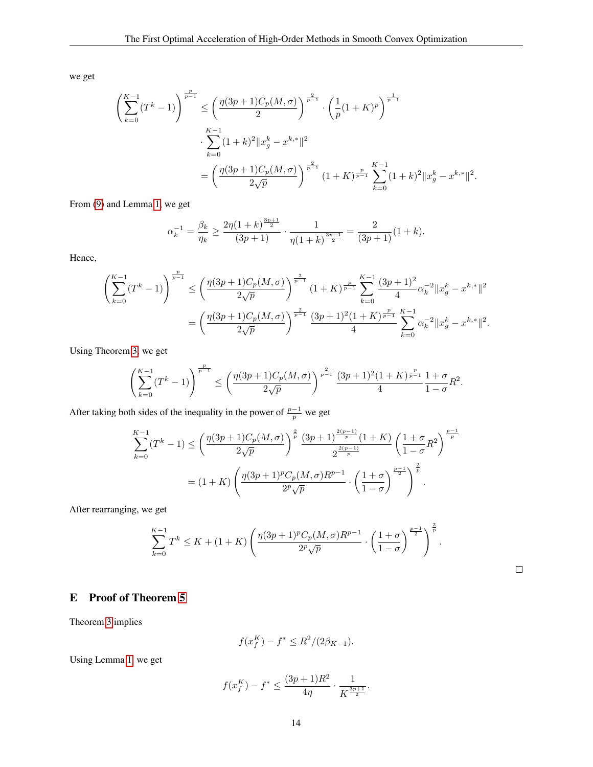we get

$$
\begin{split} \left(\sum_{k=0}^{K-1}(T^k-1)\right)^{\frac{p}{p-1}} &\leq \left(\frac{\eta(3p+1)C_p(M,\sigma)}{2}\right)^{\frac{2}{p-1}}\cdot \left(\frac{1}{p}(1+K)^p\right)^{\frac{1}{p-1}}\\ &\cdot \sum_{k=0}^{K-1}(1+k)^2\|x_g^k-x^{k,*}\|^2\\ &=\left(\frac{\eta(3p+1)C_p(M,\sigma)}{2\sqrt{p}}\right)^{\frac{2}{p-1}}(1+K)^{\frac{p}{p-1}}\sum_{k=0}^{K-1}(1+k)^2\|x_g^k-x^{k,*}\|^2. \end{split}
$$

From [\(9\)](#page-3-7) and Lemma [1,](#page-5-3) we get

$$
\alpha_k^{-1} = \frac{\beta_k}{\eta_k} \ge \frac{2\eta (1+k)^{\frac{3p+1}{2}}}{(3p+1)} \cdot \frac{1}{\eta (1+k)^{\frac{3p-1}{2}}} = \frac{2}{(3p+1)}(1+k).
$$

Hence,

$$
\begin{split} \left(\sum_{k=0}^{K-1}(T^k-1)\right)^{\frac{p}{p-1}} &\leq \left(\frac{\eta(3p+1)C_p(M,\sigma)}{2\sqrt{p}}\right)^{\frac{2}{p-1}}(1+K)^{\frac{p}{p-1}}\sum_{k=0}^{K-1}\frac{(3p+1)^2}{4}\alpha_k^{-2}\|x_g^k-x^{k,*}\|^2\\ &=\left(\frac{\eta(3p+1)C_p(M,\sigma)}{2\sqrt{p}}\right)^{\frac{2}{p-1}}\frac{(3p+1)^2(1+K)^{\frac{p}{p-1}}}{4}\sum_{k=0}^{K-1}\alpha_k^{-2}\|x_g^k-x^{k,*}\|^2. \end{split}
$$

Using Theorem [3,](#page-7-3) we get

$$
\left(\sum_{k=0}^{K-1}(T^k-1)\right)^{\frac{p}{p-1}} \le \left(\frac{\eta(3p+1)C_p(M,\sigma)}{2\sqrt{p}}\right)^{\frac{2}{p-1}}\frac{(3p+1)^2(1+K)^{\frac{p}{p-1}}}{4}\frac{1+\sigma}{1-\sigma}R^2.
$$

After taking both sides of the inequality in the power of  $\frac{p-1}{p}$  we get

$$
\sum_{k=0}^{K-1} (T^k - 1) \le \left(\frac{\eta(3p+1)C_p(M,\sigma)}{2\sqrt{p}}\right)^{\frac{2}{p}} \frac{(3p+1)^{\frac{2(p-1)}{p}}(1+K)}{2^{\frac{2(p-1)}{p}}} \left(\frac{1+\sigma}{1-\sigma}R^2\right)^{\frac{p-1}{p}}
$$

$$
= (1+K) \left(\frac{\eta(3p+1)^p C_p(M,\sigma)R^{p-1}}{2^p \sqrt{p}} \cdot \left(\frac{1+\sigma}{1-\sigma}\right)^{\frac{p-1}{2}}\right)^{\frac{2}{p}}.
$$

After rearranging, we get

$$
\sum_{k=0}^{K-1} T^k \le K + (1+K) \left( \frac{\eta(3p+1)^p C_p(M,\sigma) R^{p-1}}{2^p \sqrt{p}} \cdot \left( \frac{1+\sigma}{1-\sigma} \right)^{\frac{p-1}{2}} \right)^{\frac{2}{p}}.
$$

## $\Box$

## E Proof of Theorem [5](#page-8-15)

Theorem [3](#page-7-3) implies

$$
f(x_f^K) - f^* \le R^2 / (2\beta_{K-1}).
$$

Using Lemma [1,](#page-5-3) we get

$$
f(x_f^K) - f^* \le \frac{(3p+1)R^2}{4\eta} \cdot \frac{1}{K^{\frac{3p+1}{2}}}.
$$